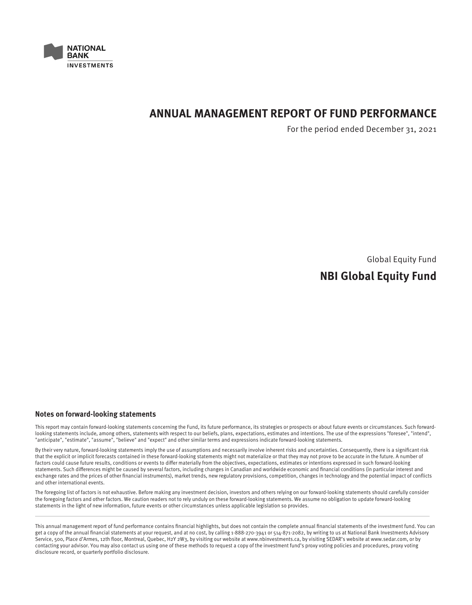

# **ANNUAL MANAGEMENT REPORT OF FUND PERFORMANCE**

For the period ended December 31, 2021

Global Equity Fund

# **NBI Global Equity Fund**

#### **Notes on forward-looking statements**

This report may contain forward-looking statements concerning the Fund, its future performance, its strategies or prospects or about future events or circumstances. Such forwardlooking statements include, among others, statements with respect to our beliefs, plans, expectations, estimates and intentions. The use of the expressions "foresee", "intend", "anticipate", "estimate", "assume", "believe" and "expect" and other similar terms and expressions indicate forward-looking statements.

By their very nature, forward-looking statements imply the use of assumptions and necessarily involve inherent risks and uncertainties. Consequently, there is a significant risk that the explicit or implicit forecasts contained in these forward-looking statements might not materialize or that they may not prove to be accurate in the future. A number of factors could cause future results, conditions or events to differ materially from the objectives, expectations, estimates or intentions expressed in such forward-looking statements. Such differences might be caused by several factors, including changes in Canadian and worldwide economic and financial conditions (in particular interest and exchange rates and the prices of other financial instruments), market trends, new regulatory provisions, competition, changes in technology and the potential impact of conflicts and other international events.

The foregoing list of factors is not exhaustive. Before making any investment decision, investors and others relying on our forward-looking statements should carefully consider the foregoing factors and other factors. We caution readers not to rely unduly on these forward-looking statements. We assume no obligation to update forward-looking statements in the light of new information, future events or other circumstances unless applicable legislation so provides.

This annual management report of fund performance contains financial highlights, but does not contain the complete annual financial statements of the investment fund. You can get a copy of the annual financial statements at your request, and at no cost, by calling 1-888-270-3941 or 514-871-2082, by writing to us at National Bank Investments Advisory Service, 500, Place d'Armes, 12th floor, Montreal, Quebec, H2Y 2W3, by visiting our website at www.nbinvestments.ca, by visiting SEDAR's website at www.sedar.com, or by contacting your advisor. You may also contact us using one of these methods to request a copy of the investment fund's proxy voting policies and procedures, proxy voting disclosure record, or quarterly portfolio disclosure.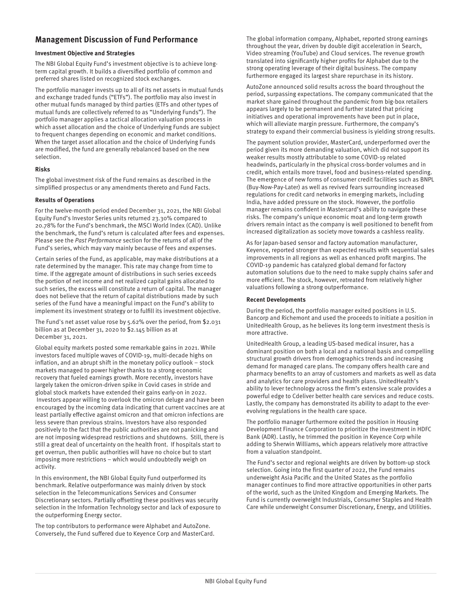# **Management Discussion of Fund Performance**

#### **Investment Objective and Strategies**

The NBI Global Equity Fund's investment objective is to achieve longterm capital growth. It builds a diversified portfolio of common and preferred shares listed on recognized stock exchanges.

The portfolio manager invests up to all of its net assets in mutual funds and exchange traded funds ("ETFs"). The portfolio may also invest in other mutual funds managed by third parties (ETFs and other types of mutual funds are collectively referred to as "Underlying Funds"). The portfolio manager applies a tactical allocation valuation process in which asset allocation and the choice of Underlying Funds are subject to frequent changes depending on economic and market conditions. When the target asset allocation and the choice of Underlying Funds are modified, the fund are generally rebalanced based on the new selection.

#### **Risks**

The global investment risk of the Fund remains as described in the simplified prospectus or any amendments thereto and Fund Facts.

#### **Results of Operations**

For the twelve-month period ended December 31, 2021, the NBI Global Equity Fund's Investor Series units returned 23.30% compared to 20.78% for the Fund's benchmark, the MSCI World Index (CAD). Unlike the benchmark, the Fund's return is calculated after fees and expenses. Please see the Past Performance section for the returns of all of the Fund's series, which may vary mainly because of fees and expenses.

Certain series of the Fund, as applicable, may make distributions at a rate determined by the manager. This rate may change from time to time. If the aggregate amount of distributions in such series exceeds the portion of net income and net realized capital gains allocated to such series, the excess will constitute a return of capital. The manager does not believe that the return of capital distributions made by such series of the Fund have a meaningful impact on the Fund's ability to implement its investment strategy or to fulfill its investment objective.

The Fund's net asset value rose by 5.62% over the period, from \$2.031 billion as at December 31, 2020 to \$2.145 billion as at December 31, 2021.

Global equity markets posted some remarkable gains in 2021. While investors faced multiple waves of COVID-19, multi-decade highs on inflation, and an abrupt shift in the monetary policy outlook – stock markets managed to power higher thanks to a strong economic recovery that fueled earnings growth. More recently, investors have largely taken the omicron-driven spike in Covid cases in stride and global stock markets have extended their gains early-on in 2022. Investors appear willing to overlook the omicron deluge and have been encouraged by the incoming data indicating that current vaccines are at least partially effective against omicron and that omicron infections are less severe than previous strains. Investors have also responded positively to the fact that the public authorities are not panicking and are not imposing widespread restrictions and shutdowns. Still, there is still a great deal of uncertainty on the health front. If hospitals start to get overrun, then public authorities will have no choice but to start imposing more restrictions – which would undoubtedly weigh on activity.

In this environment, the NBI Global Equity Fund outperformed its benchmark. Relative outperformance was mainly driven by stock selection in the Telecommunications Services and Consumer Discretionary sectors. Partially offsetting these positives was security selection in the Information Technology sector and lack of exposure to the outperforming Energy sector.

The top contributors to performance were Alphabet and AutoZone. Conversely, the Fund suffered due to Keyence Corp and MasterCard.

The global information company, Alphabet, reported strong earnings throughout the year, driven by double digit acceleration in Search, Video streaming (YouTube) and Cloud services. The revenue growth translated into significantly higher profits for Alphabet due to the strong operating leverage of their digital business. The company furthermore engaged its largest share repurchase in its history.

AutoZone announced solid results across the board throughout the period, surpassing expectations. The company communicated that the market share gained throughout the pandemic from big-box retailers appears largely to be permanent and further stated that pricing initiatives and operational improvements have been put in place, which will alleviate margin pressure. Furthermore, the company's strategy to expand their commercial business is yielding strong results.

The payment solution provider, MasterCard, underperformed over the period given its more demanding valuation, which did not support its weaker results mostly attributable to some COVID-19 related headwinds, particularly in the physical cross-border volumes and in credit, which entails more travel, food and business-related spending. The emergence of new forms of consumer credit facilities such as BNPL (Buy-Now-Pay-Later) as well as revived fears surrounding increased regulations for credit card networks in emerging markets, including India, have added pressure on the stock. However, the portfolio manager remains confident in Mastercard's ability to navigate these risks. The company's unique economic moat and long-term growth drivers remain intact as the company is well positioned to benefit from increased digitalization as society move towards a cashless reality.

As for Japan-based sensor and factory automation manufacturer, Keyence, reported stronger than expected results with sequential sales improvements in all regions as well as enhanced profit margins. The COVID-19 pandemic has catalyzed global demand for factory automation solutions due to the need to make supply chains safer and more efficient. The stock, however, retreated from relatively higher valuations following a strong outperformance.

#### **Recent Developments**

During the period, the portfolio manager exited positions in U.S. Bancorp and Richemont and used the proceeds to initiate a position in UnitedHealth Group, as he believes its long-term investment thesis is more attractive.

UnitedHealth Group, a leading US-based medical insurer, has a dominant position on both a local and a national basis and compelling structural growth drivers from demographics trends and increasing demand for managed care plans. The company offers health care and pharmacy benefits to an array of customers and markets as well as data and analytics for care providers and health plans. UnitedHealth's ability to lever technology across the firm's extensive scale provides a powerful edge to Cdeliver better health care services and reduce costs. Lastly, the company has demonstrated its ability to adapt to the everevolving regulations in the health care space.

The portfolio manager furthermore exited the position in Housing Development Finance Corporation to prioritize the investment in HDFC Bank (ADR). Lastly, he trimmed the position in Keyence Corp while adding to Sherwin Williams, which appears relatively more attractive from a valuation standpoint.

The Fund's sector and regional weights are driven by bottom-up stock selection. Going into the first quarter of 2022, the Fund remains underweight Asia Pacific and the United States as the portfolio manager continues to find more attractive opportunities in other parts of the world, such as the United Kingdom and Emerging Markets. The Fund is currently overweight Industrials, Consumer Staples and Health Care while underweight Consumer Discretionary, Energy, and Utilities.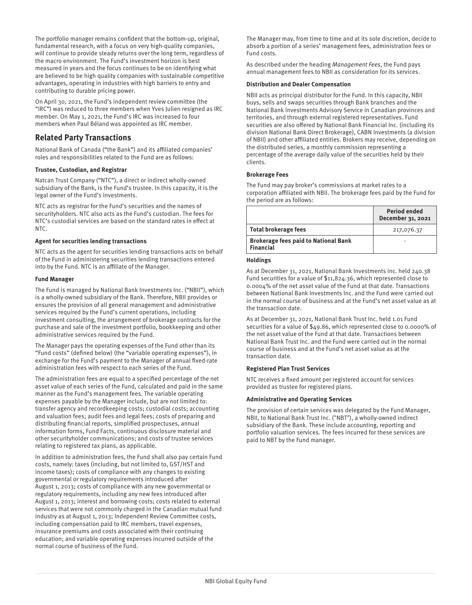The portfolio manager remains confident that the bottom-up, original, fundamental research, with a focus on very high-quality companies, will continue to provide steady returns over the long term, regardless of the macro environment. The Fund's investment horizon is best measured in years and the focus continues to be on identifying what are believed to be high quality companies with sustainable competitive advantages, operating in industries with high barriers to entry and contributing to durable pricing power.

On April 30, 2021, the Fund's independent review committee (the "IRC") was reduced to three members when Yves Julien resigned as IRC member. On May 1, 2021, the Fund's IRC was increased to four members when Paul Béland was appointed as IRC member.

# **Related Party Transactions**

National Bank of Canada ("the Bank") and its affiliated companies' roles and responsibilities related to the Fund are as follows:

#### **Trustee, Custodian, and Registrar**

Natcan Trust Company ("NTC"), a direct or indirect wholly-owned subsidiary of the Bank, is the Fund's trustee. In this capacity, it is the legal owner of the Fund's investments.

NTC acts as registrar for the Fund's securities and the names of securityholders. NTC also acts as the Fund's custodian. The fees for NTC's custodial services are based on the standard rates in effect at NTC.

#### **Agent for securities lending transactions**

NTC acts as the agent for securities lending transactions acts on behalf of the Fund in administering securities lending transactions entered into by the Fund. NTC is an affiliate of the Manager.

#### **Fund Manager**

The Fund is managed by National Bank Investments Inc. ("NBII"), which is a wholly-owned subsidiary of the Bank. Therefore, NBII provides or ensures the provision of all general management and administrative services required by the Fund's current operations, including investment consulting, the arrangement of brokerage contracts for the purchase and sale of the investment portfolio, bookkeeping and other administrative services required by the Fund.

The Manager pays the operating expenses of the Fund other than its "Fund costs" (defined below) (the "variable operating expenses"), in exchange for the Fund's payment to the Manager of annual fixed-rate administration fees with respect to each series of the Fund.

The administration fees are equal to a specified percentage of the net asset value of each series of the Fund, calculated and paid in the same manner as the Fund's management fees. The variable operating expenses payable by the Manager include, but are not limited to: transfer agency and recordkeeping costs; custodial costs; accounting and valuation fees; audit fees and legal fees; costs of preparing and distributing financial reports, simplified prospectuses, annual information forms, Fund Facts, continuous disclosure material and other securityholder communications; and costs of trustee services relating to registered tax plans, as applicable.

In addition to administration fees, the Fund shall also pay certain Fund costs, namely: taxes (including, but not limited to, GST/HST and income taxes); costs of compliance with any changes to existing governmental or regulatory requirements introduced after August 1, 2013; costs of compliance with any new governmental or regulatory requirements, including any new fees introduced after August 1, 2013; interest and borrowing costs; costs related to external services that were not commonly charged in the Canadian mutual fund industry as at August 1, 2013; Independent Review Committee costs, including compensation paid to IRC members, travel expenses, insurance premiums and costs associated with their continuing education; and variable operating expenses incurred outside of the normal course of business of the Fund.

The Manager may, from time to time and at its sole discretion, decide to absorb a portion of a series' management fees, administration fees or Fund costs.

As described under the heading Management Fees, the Fund pays annual management fees to NBII as consideration for its services.

#### **Distribution and Dealer Compensation**

NBII acts as principal distributor for the Fund. In this capacity, NBII buys, sells and swaps securities through Bank branches and the National Bank Investments Advisory Service in Canadian provinces and territories, and through external registered representatives. Fund securities are also offered by National Bank Financial Inc. (including its division National Bank Direct Brokerage), CABN Investments (a division of NBII) and other affiliated entities. Brokers may receive, depending on the distributed series, a monthly commission representing a percentage of the average daily value of the securities held by their clients.

#### **Brokerage Fees**

The Fund may pay broker's commissions at market rates to a corporation affiliated with NBII. The brokerage fees paid by the Fund for the period are as follows:

|                                                                 | <b>Period ended</b><br>December 31, 2021 |
|-----------------------------------------------------------------|------------------------------------------|
| <b>Total brokerage fees</b>                                     | 217,076.37                               |
| <b>Brokerage fees paid to National Bank</b><br><b>Financial</b> |                                          |

#### **Holdings**

As at December 31, 2021, National Bank Investments Inc. held 240.38 Fund securities for a value of \$11,824.36, which represented close to 0.0004% of the net asset value of the Fund at that date. Transactions between National Bank Investments Inc. and the Fund were carried out in the normal course of business and at the Fund's net asset value as at the transaction date.

As at December 31, 2021, National Bank Trust Inc. held 1.01 Fund securities for a value of \$49.86, which represented close to 0.0000% of the net asset value of the Fund at that date. Transactions between National Bank Trust Inc. and the Fund were carried out in the normal course of business and at the Fund's net asset value as at the transaction date.

#### **Registered Plan Trust Services**

NTC receives a fixed amount per registered account for services provided as trustee for registered plans.

#### **Administrative and Operating Services**

The provision of certain services was delegated by the Fund Manager, NBII, to National Bank Trust Inc. ("NBT"), a wholly-owned indirect subsidiary of the Bank. These include accounting, reporting and portfolio valuation services. The fees incurred for these services are paid to NBT by the Fund manager.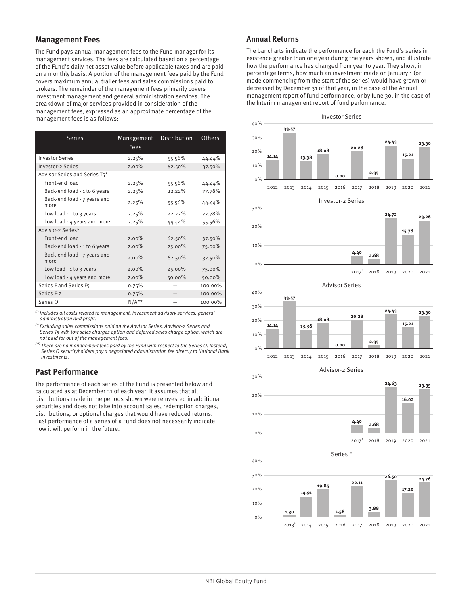### **Management Fees**

The Fund pays annual management fees to the Fund manager for its management services. The fees are calculated based on a percentage of the Fund's daily net asset value before applicable taxes and are paid on a monthly basis. A portion of the management fees paid by the Fund covers maximum annual trailer fees and sales commissions paid to brokers. The remainder of the management fees primarily covers investment management and general administration services. The breakdown of major services provided in consideration of the management fees, expressed as an approximate percentage of the management fees is as follows:

| <b>Series</b>                       | Management<br><b>Fees</b> | Distribution | $Other$ s $†$ |
|-------------------------------------|---------------------------|--------------|---------------|
| <b>Investor Series</b>              | 2.25%                     | 55.56%       | 44.44%        |
| <b>Investor-2 Series</b>            | 2.00%                     | 62.50%       | 37.50%        |
| Advisor Series and Series T5*       |                           |              |               |
| Front-end load                      | 2.25%                     | 55.56%       | 44.44%        |
| Back-end load - 1 to 6 years        | 2.25%                     | 22.22%       | 77.78%        |
| Back-end load - 7 years and<br>more | 2.25%                     | 55.56%       | 44.44%        |
| Low load $-1$ to $3$ years          | 2.25%                     | 22.22%       | 77.78%        |
| Low load - 4 years and more         | 2.25%                     | 44.44%       | 55.56%        |
| Advisor-2 Series*                   |                           |              |               |
| Front-end load                      | 2.00%                     | 62.50%       | 37.50%        |
| Back-end load - 1 to 6 years        | $2.00\%$                  | 25.00%       | 75.00%        |
| Back-end load - 7 years and<br>more | 2.00%                     | 62.50%       | 37.50%        |
| Low load $-1$ to 3 years            | 2.00%                     | 25.00%       | 75.00%        |
| Low load - 4 years and more         | 2.00%                     | 50.00%       | 50.00%        |
| Series F and Series F5              | 0.75%                     |              | 100.00%       |
| Series F-2                          | 0.75%                     |              | 100.00%       |
| Series O                            | $N/A**$                   |              | 100.00%       |

 $<sup>(t)</sup>$  Includes all costs related to management, investment advisory services, general</sup> administration and profit.

(\*) Excluding sales commissions paid on the Advisor Series, Advisor-2 Series and Series T5 with low sales charges option and deferred sales charge option, which are not paid for out of the management fees.

(\*\*) There are no management fees paid by the Fund with respect to the Series O. Instead, Series O securityholders pay a negociated administration fee directly to National Bank Investments.

# **Past Performance**

The performance of each series of the Fund is presented below and calculated as at December 31 of each year. It assumes that all distributions made in the periods shown were reinvested in additional securities and does not take into account sales, redemption charges, distributions, or optional charges that would have reduced returns. Past performance of a series of a Fund does not necessarily indicate how it will perform in the future.

#### **Annual Returns**

The bar charts indicate the performance for each the Fund's series in existence greater than one year during the years shown, and illustrate how the performance has changed from year to year. They show, in percentage terms, how much an investment made on January 1 (or made commencing from the start of the series) would have grown or decreased by December 31 of that year, in the case of the Annual management report of fund performance, or by June 30, in the case of the Interim management report of fund performance.

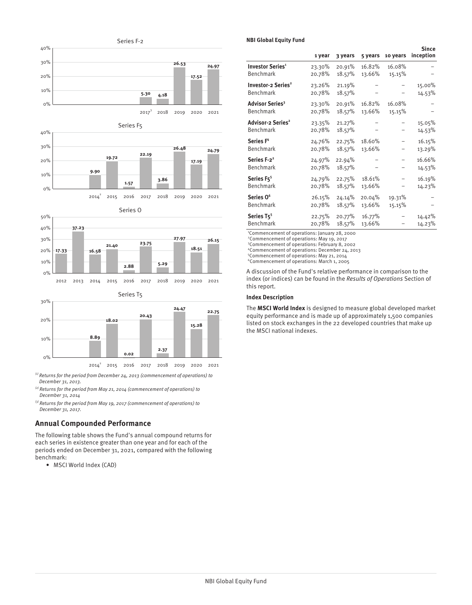





Series T5



 $\alpha^{(1)}$  Returns for the period from December 24, 2013 (commencement of operations) to December 31, 2013.

 $^{(2)}$  Returns for the period from May 21, 2014 (commencement of operations) to December 31, 2014

 $^{(3)}$  Returns for the period from May 19, 2017 (commencement of operations) to December 31, 2017.

### **Annual Compounded Performance**

The following table shows the Fund's annual compound returns for each series in existence greater than one year and for each of the periods ended on December 31, 2021, compared with the following benchmark:

• MSCI World Index (CAD)

#### **NBI Global Equity Fund**

|                                                   | 1 year           | 3 years          | 5 years | 10 years | Since<br>inception |
|---------------------------------------------------|------------------|------------------|---------|----------|--------------------|
| <b>Investor Series<sup>1</sup></b>                | 23.30%           | 20.91%           | 16.82%  | 16.08%   |                    |
| Benchmark                                         | 20.78%           | 18.57%           | 13.66%  | 15.15%   |                    |
| <b>Investor-2 Series<sup>2</sup></b><br>Benchmark | 23.26%<br>20.78% | 21.19%<br>18.57% |         |          | 15.00%<br>14.53%   |
| Advisor Series <sup>3</sup>                       | 23.30%           | 20.91%           | 16.82%  | 16.08%   |                    |
| Benchmark                                         | 20.78%           | 18.57%           | 13.66%  | 15.15%   |                    |
| Advisor-2 Series <sup>2</sup><br>Benchmark        | 23.35%<br>20.78% | 21.27%<br>18.57% |         |          | 15.05%<br>14.53%   |
| Series F <sup>4</sup>                             | 24.76%           | 22.75%           | 18.60%  |          | 16.15%             |
| Benchmark                                         | 20.78%           | 18.57%           | 13.66%  |          | 13.29%             |
| Series F-2 <sup>2</sup><br>Benchmark              | 24.97%<br>20.78% | 22.94%<br>18.57% |         |          | 16.66%<br>14.53%   |
| Series F <sub>5</sub> <sup>5</sup>                | 24.79%           | 22.75%           | 18.61%  |          | 16.19%             |
| Benchmark                                         | 20.78%           | 18.57%           | 13.66%  |          | 14.23%             |
| Series O <sup>6</sup>                             | 26.15%           | 24.14%           | 20.04%  | 19.31%   |                    |
| Benchmark                                         | 20.78%           | 18.57%           | 13.66%  | 15.15%   |                    |
| Series T <sub>5</sub> <sup>5</sup>                | 22.75%           | 20.77%           | 16.77%  |          | 14.42%             |
| <b>Benchmark</b>                                  | 20.78%           | 18.57%           | 13.66%  |          | 14.23%             |

<sup>1</sup>Commencement of operations: January 28, 2000 <sup>2</sup>Commencement of operations: May 19, 2017

<sup>3</sup>Commencement of operations: February 8, 2002

<sup>4</sup>Commencement of operations: December 24, 2013

<sup>5</sup>Commencement of operations: May 21, 2014

<sup>6</sup>Commencement of operations: March 1, 2005

A discussion of the Fund's relative performance in comparison to the index (or indices) can be found in the Results of Operations Section of this report.

#### **Index Description**

The **MSCI World Index** is designed to measure global developed market equity performance and is made up of approximately 1,500 companies listed on stock exchanges in the 22 developed countries that make up the MSCI national indexes.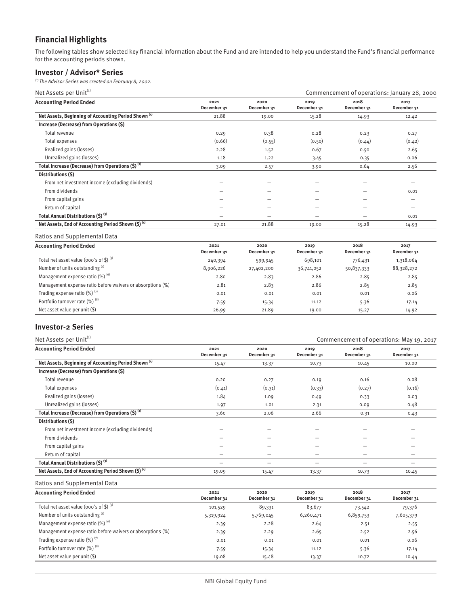# **Financial Highlights**

The following tables show selected key financial information about the Fund and are intended to help you understand the Fund's financial performance for the accounting periods shown.

### **Investor / Advisor\* Series**

(\*) The Advisor Series was created on February 8, 2002.

| Net Assets per Unit <sup>(1)</sup>                              |                     |                     | Commencement of operations: January 28, 2000 |                     |                     |  |
|-----------------------------------------------------------------|---------------------|---------------------|----------------------------------------------|---------------------|---------------------|--|
| <b>Accounting Period Ended</b>                                  | 2021<br>December 31 | 2020<br>December 31 | 2019<br>December 31                          | 2018<br>December 31 | 2017<br>December 31 |  |
| Net Assets, Beginning of Accounting Period Shown <sup>(4)</sup> | 21.88               | 19.00               | 15.28                                        | 14.93               | 12.42               |  |
| Increase (Decrease) from Operations (\$)                        |                     |                     |                                              |                     |                     |  |
| Total revenue                                                   | 0.29                | 0.38                | 0.28                                         | 0.23                | 0.27                |  |
| Total expenses                                                  | (0.66)              | (0.55)              | (0.50)                                       | (0.44)              | (0.42)              |  |
| Realized gains (losses)                                         | 2.28                | 1.52                | 0.67                                         | 0.50                | 2.65                |  |
| Unrealized gains (losses)                                       | 1.18                | 1.22                | 3.45                                         | 0.35                | 0.06                |  |
| Total Increase (Decrease) from Operations (\$) <sup>(2)</sup>   | 3.09                | 2.57                | 3.90                                         | 0.64                | 2.56                |  |
| Distributions (\$)                                              |                     |                     |                                              |                     |                     |  |
| From net investment income (excluding dividends)                |                     |                     | -                                            |                     | -                   |  |
| From dividends                                                  |                     |                     |                                              |                     | 0.01                |  |
| From capital gains                                              |                     |                     |                                              |                     |                     |  |
| Return of capital                                               |                     | -                   | -                                            |                     | -                   |  |
| Total Annual Distributions (\$) (3)                             | -                   | -                   | -                                            |                     | 0.01                |  |
| Net Assets, End of Accounting Period Shown (\$) (4)             | 27.01               | 21.88               | 19.00                                        | 15.28               | 14.93               |  |

Ratios and Supplemental Data

| <b>Accounting Period Ended</b>                             | 2021<br>December 31 | 2020<br>December 31 | 2019<br>December 31 | 2018<br>December 31 | 2017<br>December 31 |
|------------------------------------------------------------|---------------------|---------------------|---------------------|---------------------|---------------------|
| Total net asset value (000's of \$) $(5)$                  | 240,394             | 599,945             | 698,101             | 776,431             | 1,318,064           |
| Number of units outstanding (5)                            | 8,906,226           | 27,402,200          | 36,741,052          | 50,837,333          | 88,328,272          |
| Management expense ratio $(\%)$ <sup>(6)</sup>             | 2.80                | 2.83                | 2.86                | 2.85                | 2.85                |
| Management expense ratio before waivers or absorptions (%) | 2.81                | 2.83                | 2.86                | 2.85                | 2.85                |
| Trading expense ratio $(\%)$ <sup>(7)</sup>                | 0.01                | 0.01                | 0.01                | 0.01                | 0.06                |
| Portfolio turnover rate (%) (8)                            | 7.59                | 15.34               | 11.12               | 5.36                | 17.14               |
| Net asset value per unit $(\$)$                            | 26.99               | 21.89               | 19.00               | 15.27               | 14.92               |

### **Investor-2 Series**

| Net Assets per Unit <sup>(1)</sup>                              |                          |                     | Commencement of operations: May 19, 2017 |                     |                     |  |
|-----------------------------------------------------------------|--------------------------|---------------------|------------------------------------------|---------------------|---------------------|--|
| <b>Accounting Period Ended</b>                                  | 2021<br>December 31      | 2020<br>December 31 | 2019<br>December 31                      | 2018<br>December 31 | 2017<br>December 31 |  |
| Net Assets, Beginning of Accounting Period Shown <sup>(4)</sup> | 15.47                    | 13.37               | 10.73                                    | 10.45               | 10.00               |  |
| Increase (Decrease) from Operations (\$)                        |                          |                     |                                          |                     |                     |  |
| Total revenue                                                   | 0.20                     | 0.27                | 0.19                                     | 0.16                | 0.08                |  |
| Total expenses                                                  | (0.41)                   | (0.31)              | (0.33)                                   | (0.27)              | (0.16)              |  |
| Realized gains (losses)                                         | 1.84                     | 1.09                | 0.49                                     | 0.33                | 0.03                |  |
| Unrealized gains (losses)                                       | 1.97                     | 1.01                | 2.31                                     | 0.09                | 0.48                |  |
| Total Increase (Decrease) from Operations (\$) <sup>(2)</sup>   | 3.60                     | 2.06                | 2.66                                     | 0.31                | 0.43                |  |
| Distributions (\$)                                              |                          |                     |                                          |                     |                     |  |
| From net investment income (excluding dividends)                |                          |                     |                                          |                     |                     |  |
| From dividends                                                  |                          |                     |                                          |                     |                     |  |
| From capital gains                                              |                          |                     |                                          |                     |                     |  |
| Return of capital                                               |                          |                     | -                                        | -                   |                     |  |
| Total Annual Distributions (\$) (3)                             | $\overline{\phantom{0}}$ | -                   | -                                        | -                   | -                   |  |
| Net Assets, End of Accounting Period Shown (\$) (4)             | 19.09                    | 15.47               | 13.37                                    | 10.73               | 10.45               |  |

| <b>Accounting Period Ended</b>                             | 2021        | 2020        | 2019        | 2018        | 2017        |
|------------------------------------------------------------|-------------|-------------|-------------|-------------|-------------|
|                                                            | December 31 | December 31 | December 31 | December 31 | December 31 |
| Total net asset value (000's of \$) $(5)$                  | 101,529     | 89,331      | 83,677      | 73,542      | 79,376      |
| Number of units outstanding (5)                            | 5,319,924   | 5,769,045   | 6,260,471   | 6,859,753   | 7,605,379   |
| Management expense ratio (%) (6)                           | 2.39        | 2.28        | 2.64        | 2.51        | 2.55        |
| Management expense ratio before waivers or absorptions (%) | 2.39        | 2.29        | 2.65        | 2.52        | 2.56        |
| Trading expense ratio $(\%)$ <sup>(7)</sup>                | 0.01        | 0.01        | 0.01        | 0.01        | 0.06        |
| Portfolio turnover rate (%) (8)                            | 7.59        | 15.34       | 11.12       | 5.36        | 17.14       |
| Net asset value per unit $(\$)$                            | 19.08       | 15.48       | 13.37       | 10.72       | 10.44       |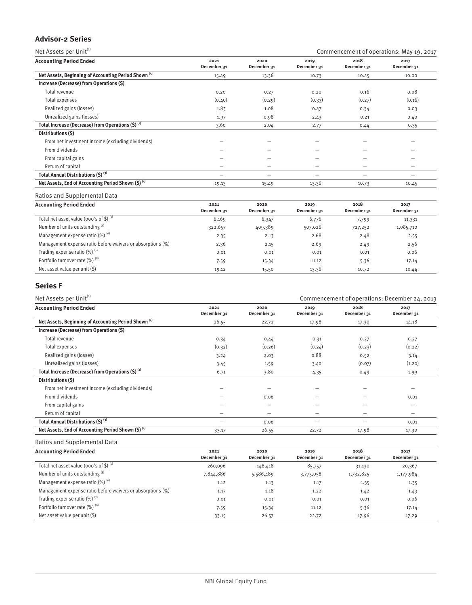### **Advisor-2 Series**

| Net Assets per Unit <sup>(1)</sup>                              |                     |                     | Commencement of operations: May 19, 2017 |                          |                          |  |
|-----------------------------------------------------------------|---------------------|---------------------|------------------------------------------|--------------------------|--------------------------|--|
| <b>Accounting Period Ended</b>                                  | 2021<br>December 31 | 2020<br>December 31 | 2019<br>December 31                      | 2018<br>December 31      | 2017<br>December 31      |  |
| Net Assets, Beginning of Accounting Period Shown <sup>(4)</sup> | 15.49               | 13.36               | 10.73                                    | 10.45                    | 10.00                    |  |
| Increase (Decrease) from Operations (\$)                        |                     |                     |                                          |                          |                          |  |
| Total revenue                                                   | 0.20                | 0.27                | 0.20                                     | 0.16                     | 0.08                     |  |
| Total expenses                                                  | (0.40)              | (0.29)              | (0.33)                                   | (0.27)                   | (0.16)                   |  |
| Realized gains (losses)                                         | 1.83                | 1.08                | 0.47                                     | 0.34                     | 0.03                     |  |
| Unrealized gains (losses)                                       | 1.97                | 0.98                | 2.43                                     | 0.21                     | 0.40                     |  |
| Total Increase (Decrease) from Operations $(5)^{(2)}$           | 3.60                | 2.04                | 2.77                                     | 0.44                     | 0.35                     |  |
| Distributions (\$)                                              |                     |                     |                                          |                          |                          |  |
| From net investment income (excluding dividends)                |                     |                     | -                                        | $\overline{\phantom{0}}$ | $\overline{\phantom{0}}$ |  |
| From dividends                                                  |                     |                     |                                          |                          |                          |  |
| From capital gains                                              |                     |                     | -                                        | -                        |                          |  |
| Return of capital                                               |                     | -                   | -                                        | -                        |                          |  |
| Total Annual Distributions (\$) (3)                             |                     | -                   | -                                        | $\overline{\phantom{0}}$ | -                        |  |
| Net Assets, End of Accounting Period Shown (\$) (4)             | 19.13               | 15.49               | 13.36                                    | 10.73                    | 10.45                    |  |
| Ratios and Supplemental Data                                    |                     |                     |                                          |                          |                          |  |

**Accounting Period Ended 2021 December 31 2020 December 31 2019 December 31 2018 December 31 2017 December 31** Total net asset value (000's of \$) <sup>(5)</sup> 6,169 6,169 6,347 6,776 7,799 11,331 Number of units outstanding <sup>(5)</sup> 322,657 409,389 507,026 727,252 1,085,710 Management expense ratio (%) <sup>(6)</sup> 2.55 2.55 2.23 2.68 2.48 2.55 Management expense ratio before waivers or absorptions (%)  $2.36$   $2.15$   $2.69$   $2.49$   $2.56$ Trading expense ratio (%) (7) 0.01 0.01 0.01 0.01 0.06 Portfolio turnover rate (%) <sup>(8)</sup>  $7.59$  15.34 11.12 5.36 17.14 11.12 Net asset value per unit (\$) 19.12 19.12 15.50 13.36 10.72 10.44

### **Series F**

| Net Assets per Unit <sup>(1)</sup>                              |                     |                     | Commencement of operations: December 24, 2013 |                     |                          |  |
|-----------------------------------------------------------------|---------------------|---------------------|-----------------------------------------------|---------------------|--------------------------|--|
| <b>Accounting Period Ended</b>                                  | 2021<br>December 31 | 2020<br>December 31 | 2019<br>December 31                           | 2018<br>December 31 | 2017<br>December 31      |  |
| Net Assets, Beginning of Accounting Period Shown <sup>(4)</sup> | 26.55               | 22.72               | 17.98                                         | 17.30               | 14.18                    |  |
| Increase (Decrease) from Operations (\$)                        |                     |                     |                                               |                     |                          |  |
| Total revenue                                                   | 0.34                | 0.44                | 0.31                                          | 0.27                | 0.27                     |  |
| Total expenses                                                  | (0.32)              | (0.26)              | (0.24)                                        | (0.23)              | (0.22)                   |  |
| Realized gains (losses)                                         | 3.24                | 2.03                | 0.88                                          | 0.52                | 3.14                     |  |
| Unrealized gains (losses)                                       | 3.45                | 1.59                | 3.40                                          | (0.07)              | (1.20)                   |  |
| Total Increase (Decrease) from Operations $(5)^{(2)}$           | 6.71                | 3.80                | 4.35                                          | 0.49                | 1.99                     |  |
| Distributions (\$)                                              |                     |                     |                                               |                     |                          |  |
| From net investment income (excluding dividends)                |                     |                     |                                               |                     |                          |  |
| From dividends                                                  |                     | 0.06                | -                                             |                     | 0.01                     |  |
| From capital gains                                              |                     |                     |                                               | --                  | -                        |  |
| Return of capital                                               | -                   | -                   | $\overline{\phantom{0}}$                      | -                   | $\overline{\phantom{m}}$ |  |
| Total Annual Distributions (\$) (3)                             | -                   | 0.06                | -                                             | $\qquad \qquad$     | 0.01                     |  |
| Net Assets, End of Accounting Period Shown $(5)^{(4)}$          | 33.17               | 26.55               | 22.72                                         | 17.98               | 17.30                    |  |
|                                                                 |                     |                     |                                               |                     |                          |  |

| <b>Accounting Period Ended</b>                             | 2021<br>December 31 | 2020<br>December 31 | 2019<br>December 31 | 2018<br>December 31 | 2017<br>December 31 |
|------------------------------------------------------------|---------------------|---------------------|---------------------|---------------------|---------------------|
| Total net asset value (000's of \$) $(5)$                  | 260,096             | 148,418             | 85,757              | 31,130              | 20,367              |
| Number of units outstanding (5)                            | 7,844,886           | 5,586,489           | 3,775,058           | 1,732,825           | 1,177,984           |
| Management expense ratio $(\%)$ <sup>(6)</sup>             | 1.12                | 1.13                | 1.17                | 1.35                | 1.35                |
| Management expense ratio before waivers or absorptions (%) | 1.17                | 1.18                | 1.22                | 1.42                | 1.43                |
| Trading expense ratio $(\%)$ <sup>(7)</sup>                | 0.01                | 0.01                | 0.01                | 0.01                | 0.06                |
| Portfolio turnover rate (%) (8)                            | 7.59                | 15.34               | 11.12               | 5.36                | 17.14               |
| Net asset value per unit $(\$)$                            | 33.15               | 26.57               | 22.72               | 17.96               | 17.29               |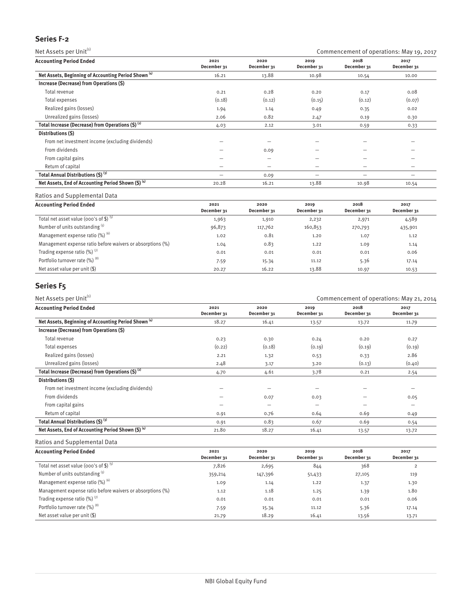## **Series F-2**

Net Assets per Unit $^{(i)}$  Commencement of operations: May 19, 2017

| <b>Accounting Period Ended</b>                                  | 2021<br>December 31      | 2020<br>December 31      | 2019<br>December 31                                                       | 2018<br>December 31 | 2017<br>December 31 |
|-----------------------------------------------------------------|--------------------------|--------------------------|---------------------------------------------------------------------------|---------------------|---------------------|
| Net Assets, Beginning of Accounting Period Shown <sup>(4)</sup> | 16.21                    | 13.88                    | 10.98                                                                     | 10.54               | 10.00               |
| Increase (Decrease) from Operations (\$)                        |                          |                          |                                                                           |                     |                     |
| Total revenue                                                   | 0.21                     | 0.28                     | 0.20                                                                      | 0.17                | 0.08                |
| Total expenses                                                  | (0.18)                   | (0.12)                   | (0.15)                                                                    | (0.12)              | (0.07)              |
| Realized gains (losses)                                         | 1.94                     | 1.14                     | 0.49                                                                      | 0.35                | 0.02                |
| Unrealized gains (losses)                                       | 2.06                     | 0.82                     | 2.47                                                                      | 0.19                | 0.30                |
| Total Increase (Decrease) from Operations $(5)^{(2)}$           | 4.03                     | 2.12                     | 3.01                                                                      | 0.59                | 0.33                |
| Distributions (\$)                                              |                          |                          |                                                                           |                     |                     |
| From net investment income (excluding dividends)                |                          |                          |                                                                           |                     |                     |
| From dividends                                                  |                          | 0.09                     | $\hspace{1.0cm} \rule{1.5cm}{0.15cm} \hspace{1.0cm} \rule{1.5cm}{0.15cm}$ | –                   |                     |
| From capital gains                                              |                          | $\overline{\phantom{0}}$ | $\overline{\phantom{0}}$                                                  | -                   |                     |
| Return of capital                                               | $\overline{\phantom{0}}$ | -                        | $\overline{\phantom{m}}$                                                  | -                   |                     |
| Total Annual Distributions (\$) (3)                             | -                        | 0.09                     | $\hspace{1.0cm} \rule{1.5cm}{0.15cm} \hspace{1.0cm} \rule{1.5cm}{0.15cm}$ | -                   |                     |
| Net Assets, End of Accounting Period Shown (\$) (4)             | 20.28                    | 16.21                    | 13.88                                                                     | 10.98               | 10.54               |

Ratios and Supplemental Data

| <b>Accounting Period Ended</b>                             | 2021<br>December 31 | 2020<br>December 31 | 2019<br>December 31 | 2018<br>December 31 | 2017<br>December 31 |
|------------------------------------------------------------|---------------------|---------------------|---------------------|---------------------|---------------------|
| Total net asset value (000's of \$) $^{(5)}$               | 1,963               | 1,910               | 2,232               | 2,971               | 4,589               |
| Number of units outstanding (5)                            | 96,873              | 117,762             | 160,853             | 270,793             | 435,901             |
| Management expense ratio $(\%)$ <sup>(6)</sup>             | 1.02                | 0.81                | 1.20                | 1.07                | 1.12                |
| Management expense ratio before waivers or absorptions (%) | 1.04                | 0.83                | 1.22                | 1.09                | 1.14                |
| Trading expense ratio $(\%)$ <sup>(7)</sup>                | 0.01                | 0.01                | 0.01                | 0.01                | 0.06                |
| Portfolio turnover rate (%) (8)                            | 7.59                | 15.34               | 11.12               | 5.36                | 17.14               |
| Net asset value per unit (\$)                              | 20.27               | 16.22               | 13.88               | 10.97               | 10.53               |

# **Series F5**

| Net Assets per Unit <sup>(1)</sup><br>Commencement of operations: May 21, 2014 |                     |                     |                     |                     |                     |
|--------------------------------------------------------------------------------|---------------------|---------------------|---------------------|---------------------|---------------------|
| <b>Accounting Period Ended</b>                                                 | 2021<br>December 31 | 2020<br>December 31 | 2019<br>December 31 | 2018<br>December 31 | 2017<br>December 31 |
| Net Assets, Beginning of Accounting Period Shown <sup>(4)</sup>                | 18.27               | 16.41               | 13.57               | 13.72               | 11.79               |
| Increase (Decrease) from Operations (\$)                                       |                     |                     |                     |                     |                     |
| Total revenue                                                                  | 0.23                | 0.30                | 0.24                | 0.20                | 0.27                |
| Total expenses                                                                 | (0.22)              | (0.18)              | (0.19)              | (0.19)              | (0.19)              |
| Realized gains (losses)                                                        | 2.21                | 1.32                | 0.53                | 0.33                | 2.86                |
| Unrealized gains (losses)                                                      | 2.48                | 3.17                | 3.20                | (0.13)              | (0.40)              |
| Total Increase (Decrease) from Operations $(5)^{(2)}$                          | 4.70                | 4.61                | 3.78                | 0.21                | 2.54                |
| Distributions (\$)                                                             |                     |                     |                     |                     |                     |
| From net investment income (excluding dividends)                               |                     |                     |                     |                     |                     |
| From dividends                                                                 |                     | 0.07                | 0.03                |                     | 0.05                |
| From capital gains                                                             |                     | -                   | -                   |                     | -                   |
| Return of capital                                                              | 0.91                | 0.76                | 0.64                | 0.69                | 0.49                |
| Total Annual Distributions (\$) (3)                                            | 0.91                | 0.83                | 0.67                | 0.69                | 0.54                |
| Net Assets, End of Accounting Period Shown $(5)^{(4)}$                         | 21.80               | 18.27               | 16.41               | 13.57               | 13.72               |

| <b>Accounting Period Ended</b>                             | 2021<br>December 31 | 2020<br>December 31 | 2019<br>December 31 | 2018<br>December 31 | 2017<br>December 31 |
|------------------------------------------------------------|---------------------|---------------------|---------------------|---------------------|---------------------|
| Total net asset value (000's of \$) $(5)$                  | 7,826               | 2,695               | 844                 | 368                 |                     |
| Number of units outstanding (5)                            | 359,214             | 147,396             | 51,433              | 27,105              | 119                 |
| Management expense ratio (%) (6)                           | 1.09                | 1.14                | 1.22                | 1.37                | 1.30                |
| Management expense ratio before waivers or absorptions (%) | 1.12                | 1.18                | 1.25                | 1.39                | 1.80                |
| Trading expense ratio $(\%)$ <sup>(7)</sup>                | 0.01                | 0.01                | 0.01                | 0.01                | 0.06                |
| Portfolio turnover rate (%) (8)                            | 7.59                | 15.34               | 11.12               | 5.36                | 17.14               |
| Net asset value per unit $(\$)$                            | 21.79               | 18.29               | 16.41               | 13.56               | 13.71               |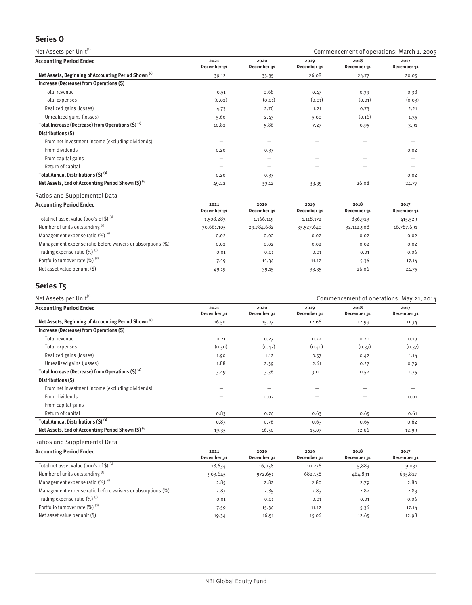# **Series O**

Net Assets per Unit<sup>(1)</sup> Commencement of operations: March 1, 2005

| <b>Accounting Period Ended</b>                                  | 2021<br>December 31 | 2020<br>December 31 | 2019<br>December 31 | 2018<br>December 31 | 2017<br>December 31      |
|-----------------------------------------------------------------|---------------------|---------------------|---------------------|---------------------|--------------------------|
| Net Assets, Beginning of Accounting Period Shown <sup>(4)</sup> | 39.12               | 33.35               | 26.08               | 24.77               | 20.05                    |
| Increase (Decrease) from Operations (\$)                        |                     |                     |                     |                     |                          |
| Total revenue                                                   | 0.51                | 0.68                | 0.47                | 0.39                | 0.38                     |
| Total expenses                                                  | (0.02)              | (0.01)              | (0.01)              | (0.01)              | (0.03)                   |
| Realized gains (losses)                                         | 4.73                | 2.76                | 1.21                | 0.73                | 2.21                     |
| Unrealized gains (losses)                                       | 5.60                | 2.43                | 5.60                | (0.16)              | 1.35                     |
| Total Increase (Decrease) from Operations $(5)^{(2)}$           | 10.82               | 5.86                | 7.27                | 0.95                | 3.91                     |
| Distributions (\$)                                              |                     |                     |                     |                     |                          |
| From net investment income (excluding dividends)                |                     |                     |                     |                     | $\overline{\phantom{0}}$ |
| From dividends                                                  | 0.20                | 0.37                |                     |                     | 0.02                     |
| From capital gains                                              | -                   | -                   | -                   | -                   | -                        |
| Return of capital                                               | -                   | –                   | -                   | $\qquad \qquad$     | $\overline{\phantom{0}}$ |
| Total Annual Distributions (\$) (3)                             | 0.20                | 0.37                |                     | -                   | 0.02                     |
| Net Assets, End of Accounting Period Shown (\$) (4)             | 49.22               | 39.12               | 33.35               | 26.08               | 24.77                    |

Ratios and Supplemental Data

| <b>Accounting Period Ended</b>                             | 2021<br>December 31 | 2020<br>December 31 | 2019<br>December 31 | 2018<br>December 31 | 2017<br>December 31 |
|------------------------------------------------------------|---------------------|---------------------|---------------------|---------------------|---------------------|
| Total net asset value (000's of \$) $(5)$                  | 1,508,283           | 1,166,119           | 1,118,172           | 836,923             | 415,529             |
| Number of units outstanding (5)                            | 30,661,105          | 29,784,682          | 33,527,640          | 32,112,908          | 16,787,691          |
| Management expense ratio (%) (6)                           | 0.02                | 0.02                | 0.02                | 0.02                | 0.02                |
| Management expense ratio before waivers or absorptions (%) | 0.02                | 0.02                | 0.02                | 0.02                | 0.02                |
| Trading expense ratio $(\%)$ <sup>(7)</sup>                | 0.01                | 0.01                | 0.01                | 0.01                | 0.06                |
| Portfolio turnover rate (%) (8)                            | 7.59                | 15.34               | 11.12               | 5.36                | 17.14               |
| Net asset value per unit (\$)                              | 49.19               | 39.15               | 33.35               | 26.06               | 24.75               |

# **Series T5**

| Net Assets per Unit <sup>(1)</sup><br>Commencement of operations: May 21, 2014 |                     |                          |                     |                     |                          |
|--------------------------------------------------------------------------------|---------------------|--------------------------|---------------------|---------------------|--------------------------|
| <b>Accounting Period Ended</b>                                                 | 2021<br>December 31 | 2020<br>December 31      | 2019<br>December 31 | 2018<br>December 31 | 2017<br>December 31      |
| Net Assets, Beginning of Accounting Period Shown <sup>(4)</sup>                | 16.50               | 15.07                    | 12.66               | 12.99               | 11.34                    |
| Increase (Decrease) from Operations (\$)                                       |                     |                          |                     |                     |                          |
| Total revenue                                                                  | 0.21                | 0.27                     | 0.22                | 0.20                | 0.19                     |
| Total expenses                                                                 | (0.50)              | (0.42)                   | (0.40)              | (0.37)              | (0.37)                   |
| Realized gains (losses)                                                        | 1.90                | 1.12                     | 0.57                | 0.42                | 1.14                     |
| Unrealized gains (losses)                                                      | 1.88                | 2.39                     | 2.61                | 0.27                | 0.79                     |
| Total Increase (Decrease) from Operations $(5)^{(2)}$                          | 3.49                | 3.36                     | 3.00                | 0.52                | 1.75                     |
| Distributions (\$)                                                             |                     |                          |                     |                     |                          |
| From net investment income (excluding dividends)                               |                     |                          |                     | –                   | $\overline{\phantom{0}}$ |
| From dividends                                                                 |                     | 0.02                     | -                   | -                   | 0.01                     |
| From capital gains                                                             |                     | $\overline{\phantom{0}}$ | -                   | -                   |                          |
| Return of capital                                                              | 0.83                | 0.74                     | 0.63                | 0.65                | 0.61                     |
| Total Annual Distributions (\$) (3)                                            | 0.83                | 0.76                     | 0.63                | 0.65                | 0.62                     |
| Net Assets, End of Accounting Period Shown (\$) (4)                            | 19.35               | 16.50                    | 15.07               | 12.66               | 12.99                    |

| <b>Accounting Period Ended</b>                             | 2021<br>December 31 | 2020<br>December 31 | 2019<br>December 31 | 2018<br>December 31 | 2017<br>December 31 |
|------------------------------------------------------------|---------------------|---------------------|---------------------|---------------------|---------------------|
| Total net asset value (000's of \$) $(5)$                  | 18,634              | 16,058              | 10,276              | 5,883               | 9,031               |
| Number of units outstanding (5)                            | 963,645             | 972,651             | 682,158             | 464,891             | 695,827             |
| Management expense ratio (%) (6)                           | 2.85                | 2.82                | 2.80                | 2.79                | 2.80                |
| Management expense ratio before waivers or absorptions (%) | 2.87                | 2.85                | 2.83                | 2.82                | 2.83                |
| Trading expense ratio $(\%)$ <sup>(7)</sup>                | 0.01                | 0.01                | 0.01                | 0.01                | 0.06                |
| Portfolio turnover rate (%) (8)                            | 7.59                | 15.34               | 11.12               | 5.36                | 17.14               |
| Net asset value per unit $(\$)$                            | 19.34               | 16.51               | 15.06               | 12.65               | 12.98               |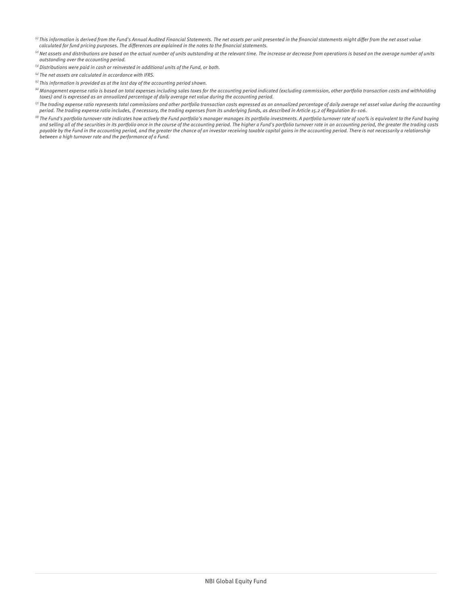- $\,^{(i)}$  This information is derived from the Fund's Annual Audited Financial Statements. The net assets per unit presented in the financial statements might differ from the net asset value calculated for fund pricing purposes. The differences are explained in the notes to the financial statements.
- $^{(2)}$  Net assets and distributions are based on the actual number of units outstanding at the relevant time. The increase or decrease from operations is based on the average number of units outstanding over the accounting period.
- $^{(3)}$  Distributions were paid in cash or reinvested in additional units of the Fund, or both.
- $\overset{\text{\tiny{(4)}}}{ }$  The net assets are calculated in accordance with IFRS.
- $<sup>(5)</sup>$  This information is provided as at the last day of the accounting period shown.</sup>
- $^{(6)}$ Management expense ratio is based on total expenses including sales taxes for the accounting period indicated (excluding commission, other portfolio transaction costs and withholding taxes) and is expressed as an annualized percentage of daily average net value during the accounting period.
- $\,^{\circ}$  The trading expense ratio represents total commissions and other portfolio transaction costs expressed as an annualized percentage of daily average net asset value during the accounting period. The trading expense ratio includes, if necessary, the trading expenses from its underlying funds, as described in Article 15.2 of Regulation 81-106.
- <sup>(8)</sup> The Fund's portfolio turnover rate indicates how actively the Fund portfolio's manager manages its portfolio investments. A portfolio turnover rate of 100% is equivalent to the Fund buying and selling all of the securities in its portfolio once in the course of the accounting period. The higher a Fund's portfolio turnover rate in an accounting period, the greater the trading costs payable by the Fund in the accounting period, and the greater the chance of an investor receiving taxable capital gains in the accounting period. There is not necessarily a relationship between a high turnover rate and the performance of a Fund.